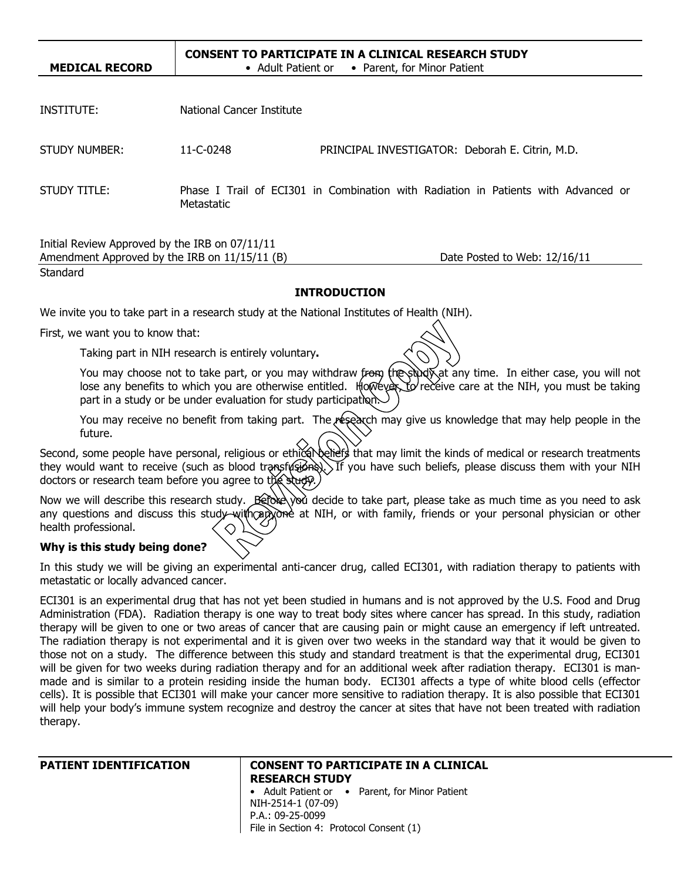**CONSENT TO PARTICIPATE IN A CLINICAL RESEARCH STUDY MEDICAL RECORD** • Adult Patient or • Parent, for Minor Patient INSTITUTE: National Cancer Institute STUDY NUMBER: 11-C-0248 PRINCIPAL INVESTIGATOR: Deborah E. Citrin, M.D. STUDY TITLE: Phase I Trail of ECI301 in Combination with Radiation in Patients with Advanced or **Metastatic** 

| Initial Review Approved by the IRB on 07/11/11 |                              |
|------------------------------------------------|------------------------------|
| Amendment Approved by the IRB on 11/15/11 (B)  | Date Posted to Web: 12/16/11 |
| Standard                                       |                              |

# **INTRODUCTION**

We invite you to take part in a research study at the National Institutes of Health (NIH).

First, we want you to know that:

Taking part in NIH research is entirely voluntary**.** 

You may choose not to take part, or you may withdraw from the study at any time. In either case, you will not lose any benefits to which you are otherwise entitled. However, to receive care at the NIH, you must be taking part in a study or be under evaluation for study participation.

You may receive no benefit from taking part. The research may give us knowledge that may help people in the future.

Second, some people have personal, religious or ethical beliefs that may limit the kinds of medical or research treatments they would want to receive (such as blood transfusions). If you have such beliefs, please discuss them with your NIH doctors or research team before you agree to the study.

Now we will describe this research study. Before you decide to take part, please take as much time as you need to ask any questions and discuss this study with  $\alpha$ <sub>N</sub> one at NIH, or with family, friends or your personal physician or other health professional.

# **Why is this study being done?**

In this study we will be giving an experimental anti-cancer drug, called ECI301, with radiation therapy to patients with metastatic or locally advanced cancer.

ECI301 is an experimental drug that has not yet been studied in humans and is not approved by the U.S. Food and Drug Administration (FDA). Radiation therapy is one way to treat body sites where cancer has spread. In this study, radiation therapy will be given to one or two areas of cancer that are causing pain or might cause an emergency if left untreated. The radiation therapy is not experimental and it is given over two weeks in the standard way that it would be given to those not on a study. The difference between this study and standard treatment is that the experimental drug, ECI301 will be given for two weeks during radiation therapy and for an additional week after radiation therapy. ECI301 is manmade and is similar to a protein residing inside the human body. ECI301 affects a type of white blood cells (effector cells). It is possible that ECI301 will make your cancer more sensitive to radiation therapy. It is also possible that ECI301 will help your body's immune system recognize and destroy the cancer at sites that have not been treated with radiation therapy.

| <b>PATIENT IDENTIFICATION</b> | <b>CONSENT TO PARTICIPATE IN A CLINICAL</b>    |  |
|-------------------------------|------------------------------------------------|--|
|                               | <b>RESEARCH STUDY</b>                          |  |
|                               | • Adult Patient or • Parent, for Minor Patient |  |
|                               | NIH-2514-1 (07-09)                             |  |
|                               | P.A.: 09-25-0099                               |  |
|                               | File in Section 4: Protocol Consent (1)        |  |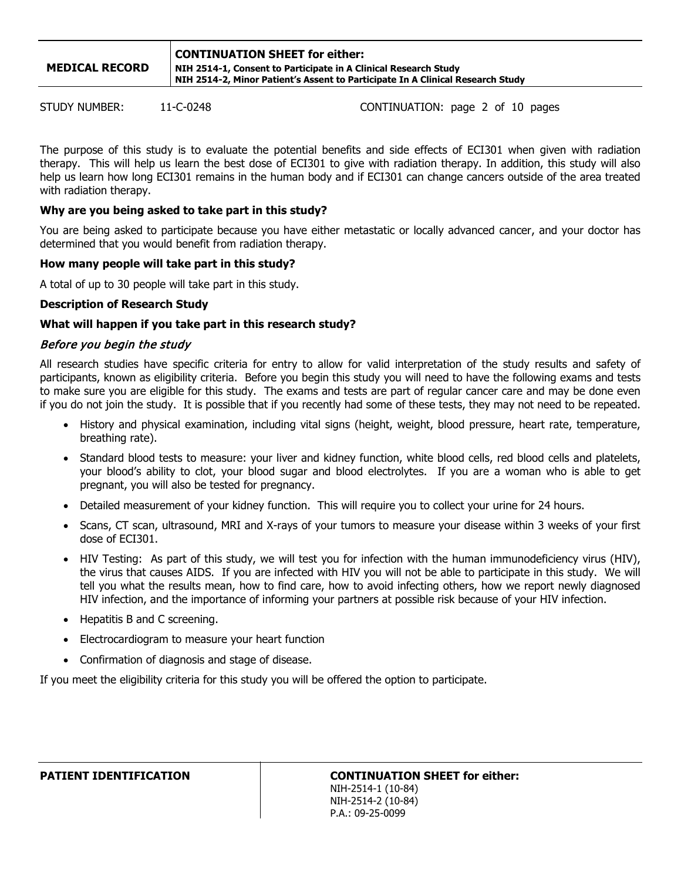|                       | <b>CONTINUATION SHEET for either:</b>                                          |
|-----------------------|--------------------------------------------------------------------------------|
| <b>MEDICAL RECORD</b> | NIH 2514-1, Consent to Participate in A Clinical Research Study                |
|                       | NIH 2514-2, Minor Patient's Assent to Participate In A Clinical Research Study |

STUDY NUMBER: 11-C-0248 CONTINUATION: page 2 of 10 pages

The purpose of this study is to evaluate the potential benefits and side effects of ECI301 when given with radiation therapy. This will help us learn the best dose of ECI301 to give with radiation therapy. In addition, this study will also help us learn how long ECI301 remains in the human body and if ECI301 can change cancers outside of the area treated with radiation therapy.

## **Why are you being asked to take part in this study?**

You are being asked to participate because you have either metastatic or locally advanced cancer, and your doctor has determined that you would benefit from radiation therapy.

### **How many people will take part in this study?**

A total of up to 30 people will take part in this study.

### **Description of Research Study**

## **What will happen if you take part in this research study?**

### Before you begin the study

All research studies have specific criteria for entry to allow for valid interpretation of the study results and safety of participants, known as eligibility criteria. Before you begin this study you will need to have the following exams and tests to make sure you are eligible for this study. The exams and tests are part of regular cancer care and may be done even if you do not join the study. It is possible that if you recently had some of these tests, they may not need to be repeated.

- History and physical examination, including vital signs (height, weight, blood pressure, heart rate, temperature, breathing rate).
- Standard blood tests to measure: your liver and kidney function, white blood cells, red blood cells and platelets, your blood's ability to clot, your blood sugar and blood electrolytes. If you are a woman who is able to get pregnant, you will also be tested for pregnancy.
- Detailed measurement of your kidney function. This will require you to collect your urine for 24 hours.
- Scans, CT scan, ultrasound, MRI and X-rays of your tumors to measure your disease within 3 weeks of your first dose of ECI301.
- HIV Testing: As part of this study, we will test you for infection with the human immunodeficiency virus (HIV), the virus that causes AIDS. If you are infected with HIV you will not be able to participate in this study. We will tell you what the results mean, how to find care, how to avoid infecting others, how we report newly diagnosed HIV infection, and the importance of informing your partners at possible risk because of your HIV infection.
- Hepatitis B and C screening.
- Electrocardiogram to measure your heart function
- Confirmation of diagnosis and stage of disease.

If you meet the eligibility criteria for this study you will be offered the option to participate.

**CONTINUATION SHEET for either:** NIH-2514-1 (10-84) NIH-2514-2 (10-84) P.A.: 09-25-0099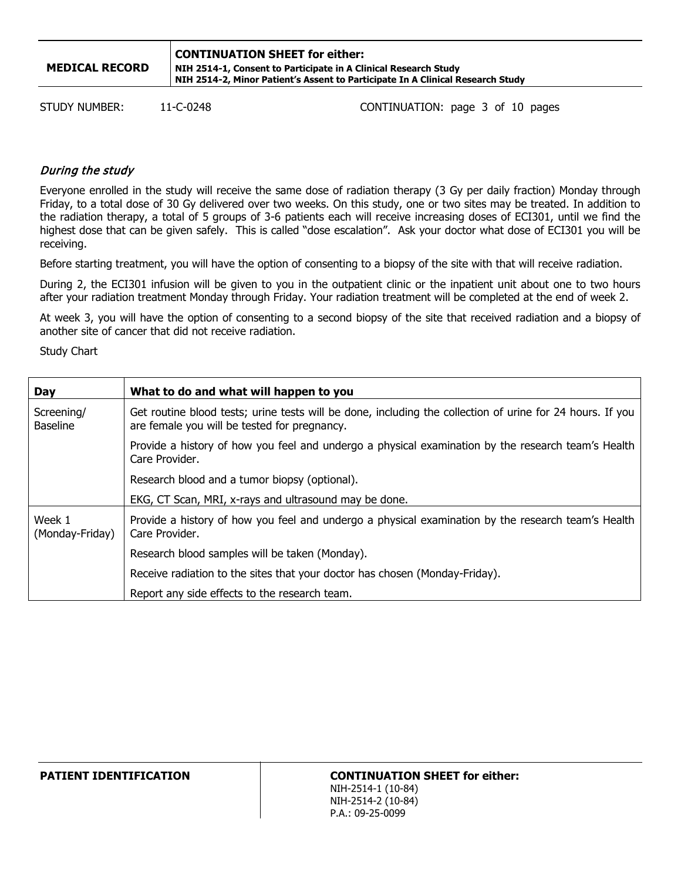| <b>CONTINUATION SHEET for either:</b><br>NIH 2514-1, Consent to Participate in A Clinical Research Study<br>NIH 2514-2, Minor Patient's Assent to Participate In A Clinical Research Study |
|--------------------------------------------------------------------------------------------------------------------------------------------------------------------------------------------|
|                                                                                                                                                                                            |
|                                                                                                                                                                                            |

STUDY NUMBER: 11-C-0248 CONTINUATION: page 3 of 10 pages

## During the study

Everyone enrolled in the study will receive the same dose of radiation therapy (3 Gy per daily fraction) Monday through Friday, to a total dose of 30 Gy delivered over two weeks. On this study, one or two sites may be treated. In addition to the radiation therapy, a total of 5 groups of 3-6 patients each will receive increasing doses of ECI301, until we find the highest dose that can be given safely. This is called "dose escalation". Ask your doctor what dose of ECI301 you will be receiving.

Before starting treatment, you will have the option of consenting to a biopsy of the site with that will receive radiation.

During 2, the ECI301 infusion will be given to you in the outpatient clinic or the inpatient unit about one to two hours after your radiation treatment Monday through Friday. Your radiation treatment will be completed at the end of week 2.

At week 3, you will have the option of consenting to a second biopsy of the site that received radiation and a biopsy of another site of cancer that did not receive radiation.

Study Chart

| Day                           | What to do and what will happen to you                                                                                                                    |
|-------------------------------|-----------------------------------------------------------------------------------------------------------------------------------------------------------|
| Screening/<br><b>Baseline</b> | Get routine blood tests; urine tests will be done, including the collection of urine for 24 hours. If you<br>are female you will be tested for pregnancy. |
|                               | Provide a history of how you feel and undergo a physical examination by the research team's Health<br>Care Provider.                                      |
|                               | Research blood and a tumor biopsy (optional).                                                                                                             |
|                               | EKG, CT Scan, MRI, x-rays and ultrasound may be done.                                                                                                     |
| Week 1<br>(Monday-Friday)     | Provide a history of how you feel and undergo a physical examination by the research team's Health<br>Care Provider.                                      |
|                               | Research blood samples will be taken (Monday).                                                                                                            |
|                               | Receive radiation to the sites that your doctor has chosen (Monday-Friday).                                                                               |
|                               | Report any side effects to the research team.                                                                                                             |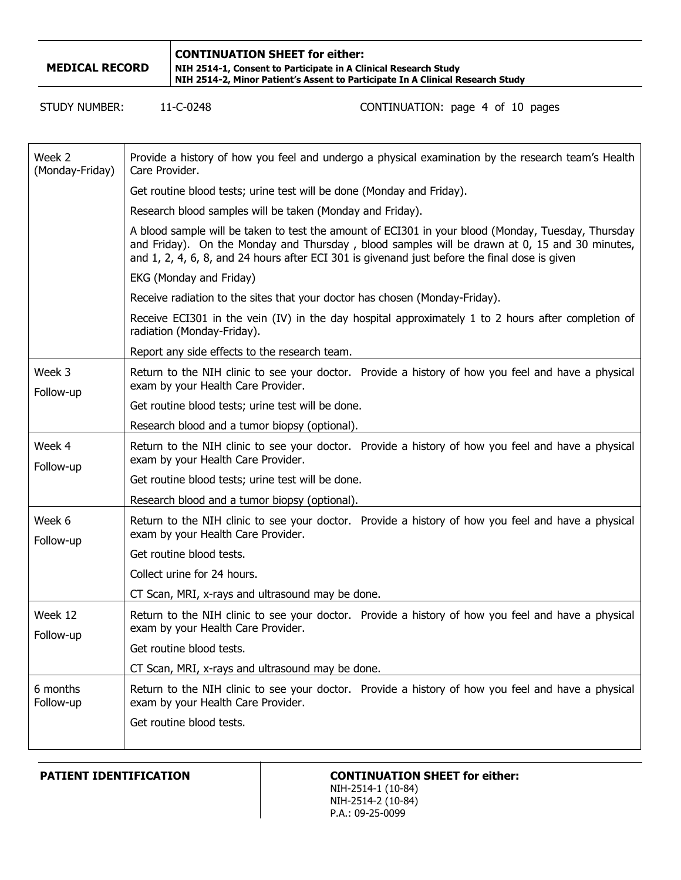| <b>MEDICAL RECORD</b>     |                                                                                                                      | <b>CONTINUATION SHEET for either:</b><br>NIH 2514-1, Consent to Participate in A Clinical Research Study<br>NIH 2514-2, Minor Patient's Assent to Participate In A Clinical Research Study |  |                                                                                                                                                                                                                                                                                                      |  |
|---------------------------|----------------------------------------------------------------------------------------------------------------------|--------------------------------------------------------------------------------------------------------------------------------------------------------------------------------------------|--|------------------------------------------------------------------------------------------------------------------------------------------------------------------------------------------------------------------------------------------------------------------------------------------------------|--|
| <b>STUDY NUMBER:</b>      |                                                                                                                      | 11-C-0248                                                                                                                                                                                  |  | CONTINUATION: page 4 of 10 pages                                                                                                                                                                                                                                                                     |  |
| Week 2<br>(Monday-Friday) | Provide a history of how you feel and undergo a physical examination by the research team's Health<br>Care Provider. |                                                                                                                                                                                            |  |                                                                                                                                                                                                                                                                                                      |  |
|                           |                                                                                                                      | Get routine blood tests; urine test will be done (Monday and Friday).                                                                                                                      |  |                                                                                                                                                                                                                                                                                                      |  |
|                           |                                                                                                                      | Research blood samples will be taken (Monday and Friday).                                                                                                                                  |  |                                                                                                                                                                                                                                                                                                      |  |
|                           |                                                                                                                      |                                                                                                                                                                                            |  | A blood sample will be taken to test the amount of ECI301 in your blood (Monday, Tuesday, Thursday<br>and Friday). On the Monday and Thursday, blood samples will be drawn at 0, 15 and 30 minutes,<br>and 1, 2, 4, 6, 8, and 24 hours after ECI 301 is givenand just before the final dose is given |  |
|                           |                                                                                                                      | EKG (Monday and Friday)                                                                                                                                                                    |  |                                                                                                                                                                                                                                                                                                      |  |
|                           |                                                                                                                      | Receive radiation to the sites that your doctor has chosen (Monday-Friday).                                                                                                                |  |                                                                                                                                                                                                                                                                                                      |  |
|                           |                                                                                                                      | radiation (Monday-Friday).                                                                                                                                                                 |  | Receive ECI301 in the vein (IV) in the day hospital approximately 1 to 2 hours after completion of                                                                                                                                                                                                   |  |
|                           |                                                                                                                      | Report any side effects to the research team.                                                                                                                                              |  |                                                                                                                                                                                                                                                                                                      |  |
| Week 3<br>Follow-up       |                                                                                                                      | exam by your Health Care Provider.                                                                                                                                                         |  | Return to the NIH clinic to see your doctor. Provide a history of how you feel and have a physical                                                                                                                                                                                                   |  |
|                           |                                                                                                                      | Get routine blood tests; urine test will be done.                                                                                                                                          |  |                                                                                                                                                                                                                                                                                                      |  |
|                           |                                                                                                                      | Research blood and a tumor biopsy (optional).                                                                                                                                              |  |                                                                                                                                                                                                                                                                                                      |  |
| Week 4<br>Follow-up       |                                                                                                                      | exam by your Health Care Provider.                                                                                                                                                         |  | Return to the NIH clinic to see your doctor. Provide a history of how you feel and have a physical                                                                                                                                                                                                   |  |
|                           |                                                                                                                      | Get routine blood tests; urine test will be done.                                                                                                                                          |  |                                                                                                                                                                                                                                                                                                      |  |
|                           |                                                                                                                      | Research blood and a tumor biopsy (optional).                                                                                                                                              |  |                                                                                                                                                                                                                                                                                                      |  |
| Week 6<br>Follow-up       |                                                                                                                      | exam by your Health Care Provider.                                                                                                                                                         |  | Return to the NIH clinic to see your doctor. Provide a history of how you feel and have a physical                                                                                                                                                                                                   |  |
|                           |                                                                                                                      | Get routine blood tests.                                                                                                                                                                   |  |                                                                                                                                                                                                                                                                                                      |  |
|                           |                                                                                                                      | Collect urine for 24 hours.                                                                                                                                                                |  |                                                                                                                                                                                                                                                                                                      |  |
|                           |                                                                                                                      | CT Scan, MRI, x-rays and ultrasound may be done.                                                                                                                                           |  |                                                                                                                                                                                                                                                                                                      |  |
| Week 12<br>Follow-up      |                                                                                                                      | exam by your Health Care Provider.                                                                                                                                                         |  | Return to the NIH clinic to see your doctor. Provide a history of how you feel and have a physical                                                                                                                                                                                                   |  |
|                           |                                                                                                                      | Get routine blood tests.                                                                                                                                                                   |  |                                                                                                                                                                                                                                                                                                      |  |
|                           |                                                                                                                      | CT Scan, MRI, x-rays and ultrasound may be done.                                                                                                                                           |  |                                                                                                                                                                                                                                                                                                      |  |
| 6 months<br>Follow-up     |                                                                                                                      | exam by your Health Care Provider.                                                                                                                                                         |  | Return to the NIH clinic to see your doctor. Provide a history of how you feel and have a physical                                                                                                                                                                                                   |  |
|                           |                                                                                                                      | Get routine blood tests.                                                                                                                                                                   |  |                                                                                                                                                                                                                                                                                                      |  |

**PATIENT IDENTIFICATION CONTINUATION SHEET for either:** NIH-2514-1 (10-84) NIH-2514-2 (10-84)

P.A.: 09-25-0099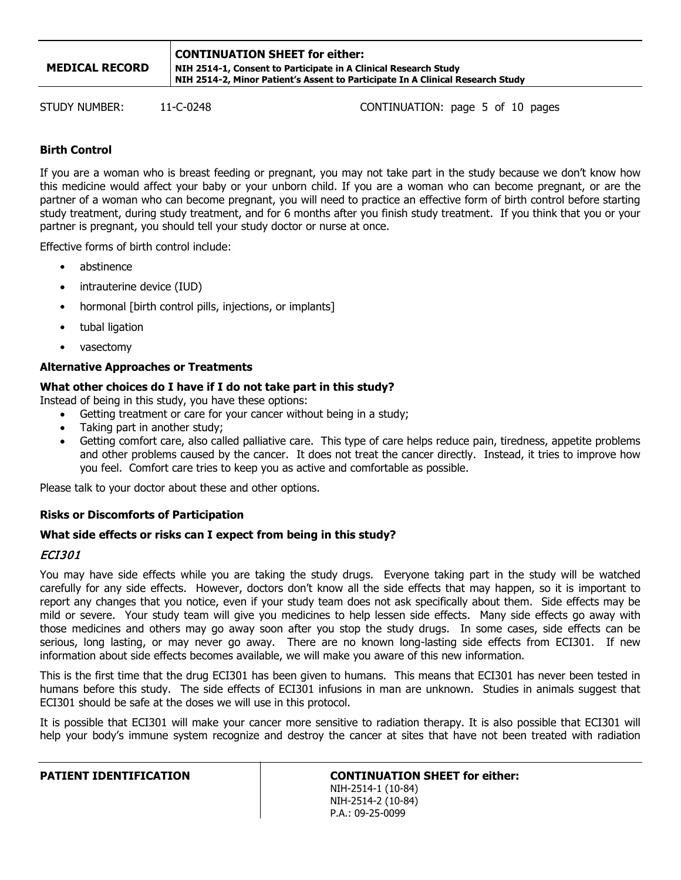|                       | <b>CONTINUATION SHEET for either:</b>                                          |
|-----------------------|--------------------------------------------------------------------------------|
| <b>MEDICAL RECORD</b> | NIH 2514-1, Consent to Participate in A Clinical Research Study                |
|                       | NIH 2514-2, Minor Patient's Assent to Participate In A Clinical Research Study |

STUDY NUMBER: 11-C-0248 CONTINUATION: page 5 of 10 pages

## **Birth Control**

If you are a woman who is breast feeding or pregnant, you may not take part in the study because we don't know how this medicine would affect your baby or your unborn child. If you are a woman who can become pregnant, or are the partner of a woman who can become pregnant, you will need to practice an effective form of birth control before starting study treatment, during study treatment, and for 6 months after you finish study treatment. If you think that you or your partner is pregnant, you should tell your study doctor or nurse at once.

Effective forms of birth control include:

- abstinence
- intrauterine device (IUD)
- hormonal [birth control pills, injections, or implants]
- tubal ligation
- vasectomy

## **Alternative Approaches or Treatments**

### **What other choices do I have if I do not take part in this study?**

Instead of being in this study, you have these options:

- Getting treatment or care for your cancer without being in a study;
- Taking part in another study;
- Getting comfort care, also called palliative care. This type of care helps reduce pain, tiredness, appetite problems and other problems caused by the cancer. It does not treat the cancer directly. Instead, it tries to improve how you feel. Comfort care tries to keep you as active and comfortable as possible.

Please talk to your doctor about these and other options.

## **Risks or Discomforts of Participation**

## **What side effects or risks can I expect from being in this study?**

## ECI301

You may have side effects while you are taking the study drugs. Everyone taking part in the study will be watched carefully for any side effects. However, doctors don't know all the side effects that may happen, so it is important to report any changes that you notice, even if your study team does not ask specifically about them. Side effects may be mild or severe. Your study team will give you medicines to help lessen side effects. Many side effects go away with those medicines and others may go away soon after you stop the study drugs. In some cases, side effects can be serious, long lasting, or may never go away. There are no known long-lasting side effects from ECI301. If new information about side effects becomes available, we will make you aware of this new information.

This is the first time that the drug ECI301 has been given to humans. This means that ECI301 has never been tested in humans before this study. The side effects of ECI301 infusions in man are unknown. Studies in animals suggest that ECI301 should be safe at the doses we will use in this protocol.

It is possible that ECI301 will make your cancer more sensitive to radiation therapy. It is also possible that ECI301 will help your body's immune system recognize and destroy the cancer at sites that have not been treated with radiation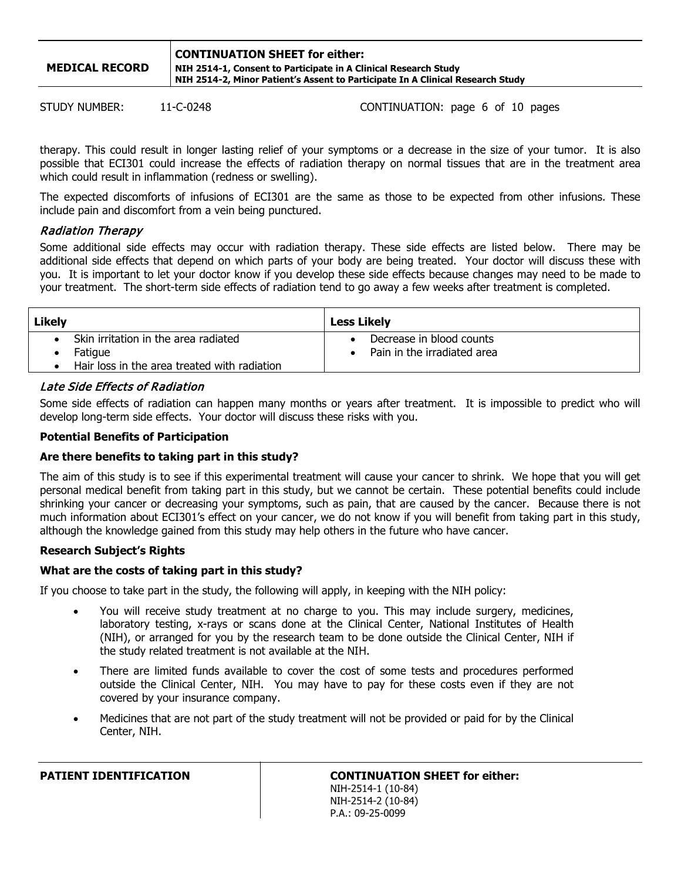|                       | <b>CONTINUATION SHEET for either:</b>                                          |
|-----------------------|--------------------------------------------------------------------------------|
| <b>MEDICAL RECORD</b> | NIH 2514-1, Consent to Participate in A Clinical Research Study                |
|                       | NIH 2514-2, Minor Patient's Assent to Participate In A Clinical Research Study |

STUDY NUMBER: 11-C-0248 CONTINUATION: page 6 of 10 pages

therapy. This could result in longer lasting relief of your symptoms or a decrease in the size of your tumor. It is also possible that ECI301 could increase the effects of radiation therapy on normal tissues that are in the treatment area which could result in inflammation (redness or swelling).

The expected discomforts of infusions of ECI301 are the same as those to be expected from other infusions. These include pain and discomfort from a vein being punctured.

# Radiation Therapy

Some additional side effects may occur with radiation therapy. These side effects are listed below. There may be additional side effects that depend on which parts of your body are being treated. Your doctor will discuss these with you. It is important to let your doctor know if you develop these side effects because changes may need to be made to your treatment. The short-term side effects of radiation tend to go away a few weeks after treatment is completed.

| Skin irritation in the area radiated<br>Decrease in blood counts<br>Pain in the irradiated area<br>Fatigue | Likely |                                              | <b>Less Likely</b> |
|------------------------------------------------------------------------------------------------------------|--------|----------------------------------------------|--------------------|
|                                                                                                            |        |                                              |                    |
|                                                                                                            |        |                                              |                    |
|                                                                                                            |        | Hair loss in the area treated with radiation |                    |

## Late Side Effects of Radiation

Some side effects of radiation can happen many months or years after treatment. It is impossible to predict who will develop long-term side effects. Your doctor will discuss these risks with you.

## **Potential Benefits of Participation**

## **Are there benefits to taking part in this study?**

The aim of this study is to see if this experimental treatment will cause your cancer to shrink. We hope that you will get personal medical benefit from taking part in this study, but we cannot be certain. These potential benefits could include shrinking your cancer or decreasing your symptoms, such as pain, that are caused by the cancer. Because there is not much information about ECI301's effect on your cancer, we do not know if you will benefit from taking part in this study, although the knowledge gained from this study may help others in the future who have cancer.

## **Research Subject's Rights**

## **What are the costs of taking part in this study?**

If you choose to take part in the study, the following will apply, in keeping with the NIH policy:

- You will receive study treatment at no charge to you. This may include surgery, medicines, laboratory testing, x-rays or scans done at the Clinical Center, National Institutes of Health (NIH), or arranged for you by the research team to be done outside the Clinical Center, NIH if the study related treatment is not available at the NIH.
- There are limited funds available to cover the cost of some tests and procedures performed outside the Clinical Center, NIH. You may have to pay for these costs even if they are not covered by your insurance company.
- Medicines that are not part of the study treatment will not be provided or paid for by the Clinical Center, NIH.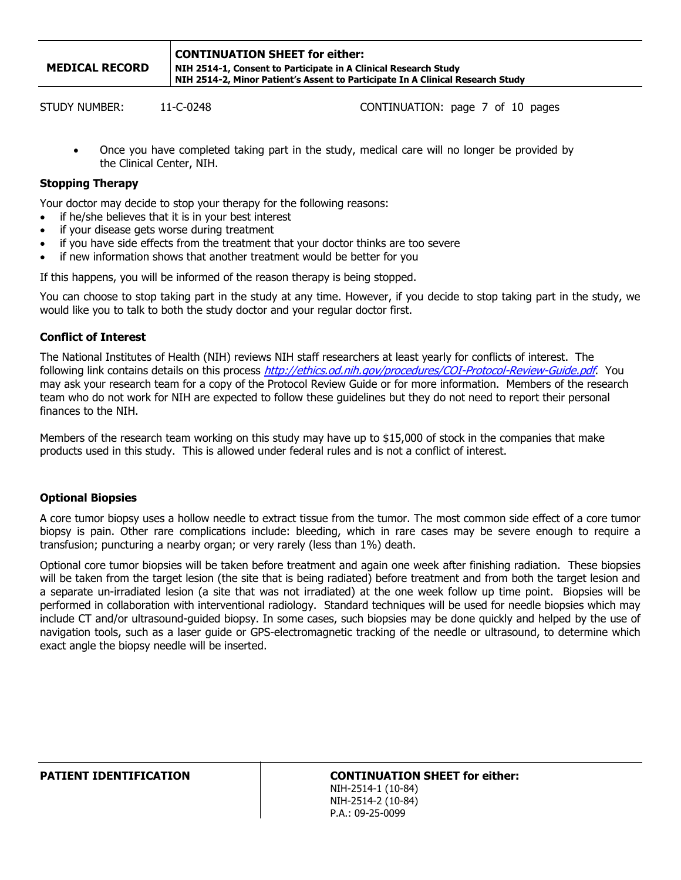|                       | <b>CONTINUATION SHEET for either:</b>                                          |
|-----------------------|--------------------------------------------------------------------------------|
| <b>MEDICAL RECORD</b> | NIH 2514-1, Consent to Participate in A Clinical Research Study                |
|                       | NIH 2514-2, Minor Patient's Assent to Participate In A Clinical Research Study |

STUDY NUMBER: 11-C-0248 CONTINUATION: page 7 of 10 pages

• Once you have completed taking part in the study, medical care will no longer be provided by the Clinical Center, NIH.

## **Stopping Therapy**

Your doctor may decide to stop your therapy for the following reasons:

- if he/she believes that it is in your best interest
- if your disease gets worse during treatment
- if you have side effects from the treatment that your doctor thinks are too severe
- if new information shows that another treatment would be better for you

If this happens, you will be informed of the reason therapy is being stopped.

You can choose to stop taking part in the study at any time. However, if you decide to stop taking part in the study, we would like you to talk to both the study doctor and your regular doctor first.

## **Conflict of Interest**

The National Institutes of Health (NIH) reviews NIH staff researchers at least yearly for conflicts of interest. The following link contains details on this process *<http://ethics.od.nih.gov/procedures/COI-Protocol-Review-Guide.pdf>*. You may ask your research team for a copy of the Protocol Review Guide or for more information. Members of the research team who do not work for NIH are expected to follow these guidelines but they do not need to report their personal finances to the NIH.

Members of the research team working on this study may have up to \$15,000 of stock in the companies that make products used in this study. This is allowed under federal rules and is not a conflict of interest.

#### **Optional Biopsies**

A core tumor biopsy uses a hollow needle to extract tissue from the tumor. The most common side effect of a core tumor biopsy is pain. Other rare complications include: bleeding, which in rare cases may be severe enough to require a transfusion; puncturing a nearby organ; or very rarely (less than 1%) death.

Optional core tumor biopsies will be taken before treatment and again one week after finishing radiation. These biopsies will be taken from the target lesion (the site that is being radiated) before treatment and from both the target lesion and a separate un-irradiated lesion (a site that was not irradiated) at the one week follow up time point. Biopsies will be performed in collaboration with interventional radiology. Standard techniques will be used for needle biopsies which may include CT and/or ultrasound-guided biopsy. In some cases, such biopsies may be done quickly and helped by the use of navigation tools, such as a laser guide or GPS-electromagnetic tracking of the needle or ultrasound, to determine which exact angle the biopsy needle will be inserted.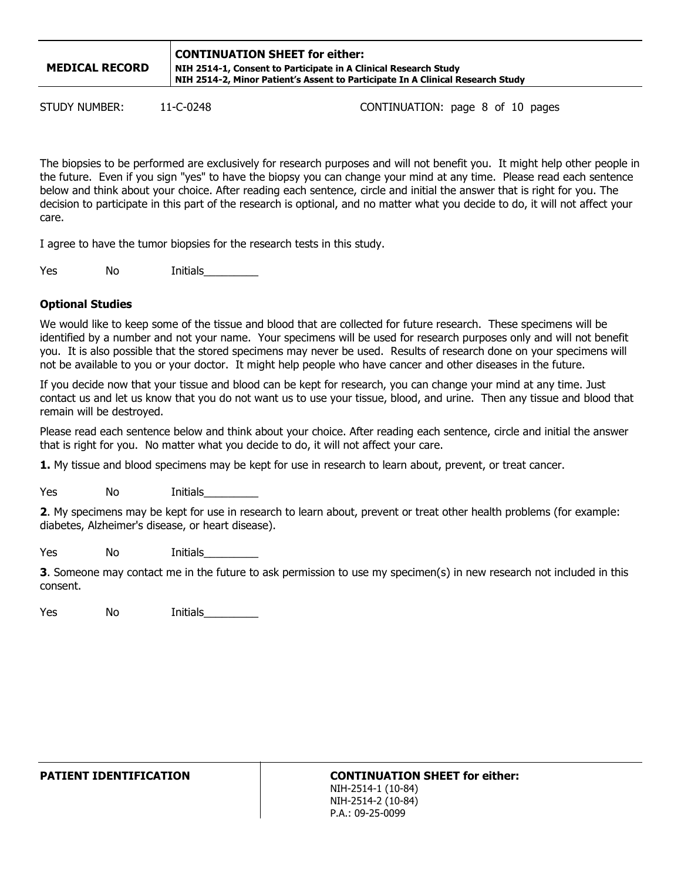| <b>CONTINUATION SHEET for either:</b>                                                                                                                                      |  |
|----------------------------------------------------------------------------------------------------------------------------------------------------------------------------|--|
| <b>MEDICAL RECORD</b><br>NIH 2514-1, Consent to Participate in A Clinical Research Study<br>NIH 2514-2, Minor Patient's Assent to Participate In A Clinical Research Study |  |

STUDY NUMBER: 11-C-0248 CONTINUATION: page 8 of 10 pages

The biopsies to be performed are exclusively for research purposes and will not benefit you. It might help other people in the future. Even if you sign "yes" to have the biopsy you can change your mind at any time. Please read each sentence below and think about your choice. After reading each sentence, circle and initial the answer that is right for you. The decision to participate in this part of the research is optional, and no matter what you decide to do, it will not affect your care.

I agree to have the tumor biopsies for the research tests in this study.

Yes No Initials

## **Optional Studies**

We would like to keep some of the tissue and blood that are collected for future research. These specimens will be identified by a number and not your name. Your specimens will be used for research purposes only and will not benefit you. It is also possible that the stored specimens may never be used. Results of research done on your specimens will not be available to you or your doctor. It might help people who have cancer and other diseases in the future.

If you decide now that your tissue and blood can be kept for research, you can change your mind at any time. Just contact us and let us know that you do not want us to use your tissue, blood, and urine. Then any tissue and blood that remain will be destroyed.

Please read each sentence below and think about your choice. After reading each sentence, circle and initial the answer that is right for you. No matter what you decide to do, it will not affect your care.

**1.** My tissue and blood specimens may be kept for use in research to learn about, prevent, or treat cancer.

Yes No Initials

**2**. My specimens may be kept for use in research to learn about, prevent or treat other health problems (for example: diabetes, Alzheimer's disease, or heart disease).

Yes No Initials

**3**. Someone may contact me in the future to ask permission to use my specimen(s) in new research not included in this consent.

Yes No Initials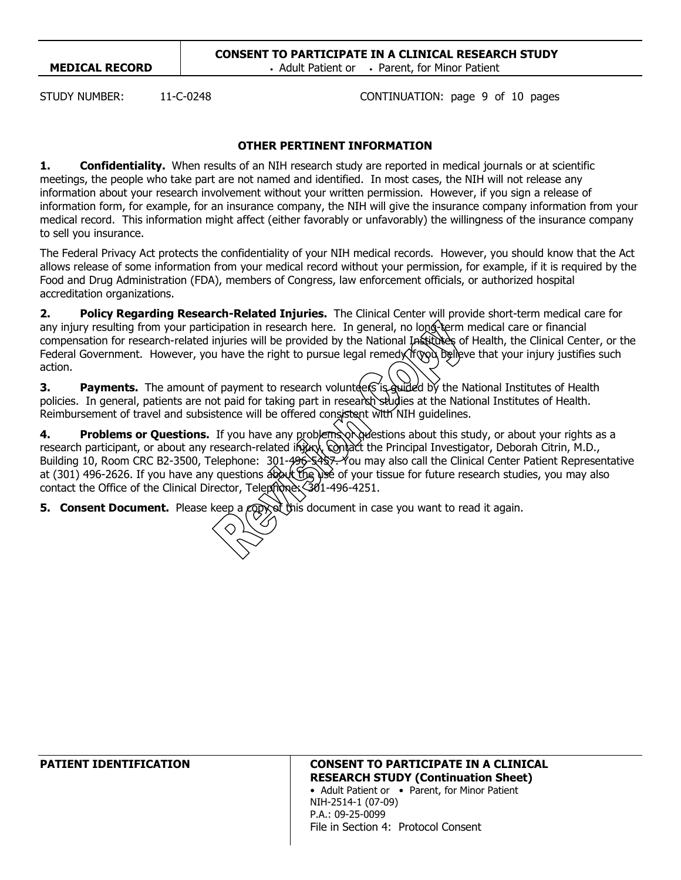STUDY NUMBER: 11-C-0248 CONTINUATION: page 9 of 10 pages

## **OTHER PERTINENT INFORMATION**

**1. Confidentiality.** When results of an NIH research study are reported in medical journals or at scientific meetings, the people who take part are not named and identified. In most cases, the NIH will not release any information about your research involvement without your written permission. However, if you sign a release of information form, for example, for an insurance company, the NIH will give the insurance company information from your medical record. This information might affect (either favorably or unfavorably) the willingness of the insurance company to sell you insurance.

The Federal Privacy Act protects the confidentiality of your NIH medical records. However, you should know that the Act allows release of some information from your medical record without your permission, for example, if it is required by the Food and Drug Administration (FDA), members of Congress, law enforcement officials, or authorized hospital accreditation organizations.

**2. Policy Regarding Research-Related Injuries.** The Clinical Center will provide short-term medical care for any injury resulting from your participation in research here. In general, no long-term medical care or financial compensation for research-related injuries will be provided by the National Institutes of Health, the Clinical Center, or the Federal Government. However, you have the right to pursue legal remed (frood believe that your injury justifies such action.

**3. Payments.** The amount of payment to research volunteers is guided by the National Institutes of Health policies. In general, patients are not paid for taking part in research studies at the National Institutes of Health. Reimbursement of travel and subsistence will be offered consistent with NIH guidelines.

4. **Problems or Questions.** If you have any problems or questions about this study, or about your rights as a research participant, or about any research-related injury, contact the Principal Investigator, Deborah Citrin, M.D., Building 10, Room CRC B2-3500, Telephone: 301-496-5457. You may also call the Clinical Center Patient Representative at (301) 496-2626. If you have any questions about the use of your tissue for future research studies, you may also contact the Office of the Clinical Director, Telephone: 301-496-4251.

**5. Consent Document.** Please keep a copy of this document in case you want to read it again.

**PATIENT IDENTIFICATION CONSENT TO PARTICIPATE IN A CLINICAL RESEARCH STUDY (Continuation Sheet)**

• Adult Patient or • Parent, for Minor Patient NIH-2514-1 (07-09) P.A.: 09-25-0099 File in Section 4: Protocol Consent